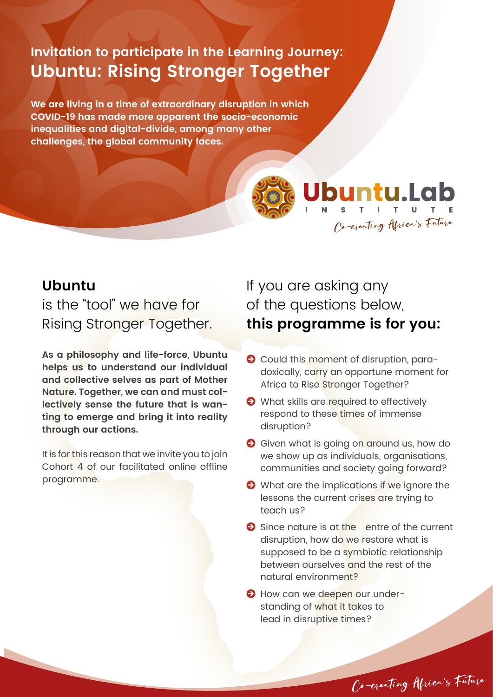# **Invitation to participate in the Learning Journey: Ubuntu: Rising Stronger Together**

**We are living in a time of extraordinary disruption in which COVID-19 has made more apparent the socio-economic inequalities and digital-divide, among many other challenges, the global community faces.**



Ubuntu.Lab Co-creating Africa's Future

#### **Ubuntu**

is the "tool" we have for Rising Stronger Together.

**As a philosophy and life-force, Ubuntu helps us to understand our individual and collective selves as part of Mother Nature. Together, we can and must collectively sense the future that is wanting to emerge and bring it into reality through our actions.** 

It is for this reason that we invite you to join Cohort 4 of our facilitated online offline programme.

If you are asking any of the questions below, **this programme is for you:**

- **O** Could this moment of disruption, paradoxically, carry an opportune moment for Africa to Rise Stronger Together?
- What skills are required to effectively respond to these times of immense disruption?
- Given what is going on around us, how do we show up as individuals, organisations, communities and society going forward?
- What are the implications if we ignore the lessons the current crises are trying to teach us?
- Since nature is at the entre of the current disruption, how do we restore what is supposed to be a symbiotic relationship between ourselves and the rest of the natural environment?

Co-creating Africa's Future

 $\Theta$  How can we deepen our understanding of what it takes to lead in disruptive times?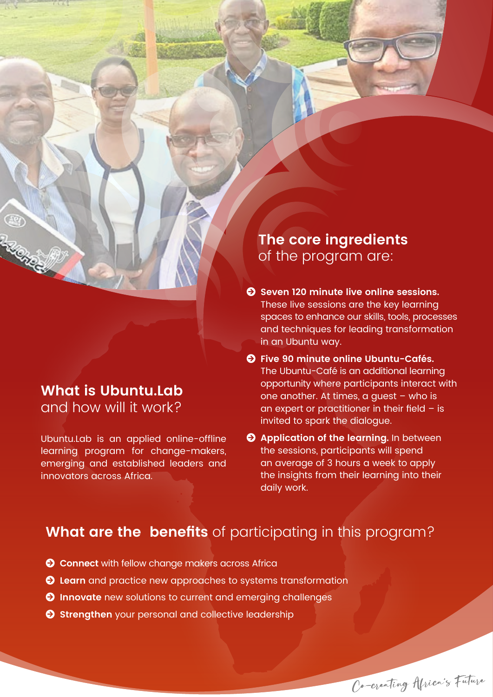#### **What is Ubuntu.Lab** and how will it work?

**RACKER** 

Ubuntu.Lab is an applied online-offline learning program for change-makers, emerging and established leaders and innovators across Africa.

**The core ingredients** of the program are:

- $\bullet$  Seven 120 minute live online sessions. These live sessions are the key learning spaces to enhance our skills, tools, processes and techniques for leading transformation in an Ubuntu way.
- **Five 90 minute online Ubuntu-Cafés.**  The Ubuntu-Café is an additional learning opportunity where participants interact with one another. At times, a guest – who is an expert or practitioner in their field – is invited to spark the dialogue.
- **Application of the learning.** In between the sessions, participants will spend an average of 3 hours a week to apply the insights from their learning into their daily work.

### **What are the benefits** of participating in this program?

- **Connect** with fellow change makers across Africa
- **Learn** and practice new approaches to systems transformation
- **O** Innovate new solutions to current and emerging challenges
- **Strengthen** your personal and collective leadership

Co-creating Africa's Future